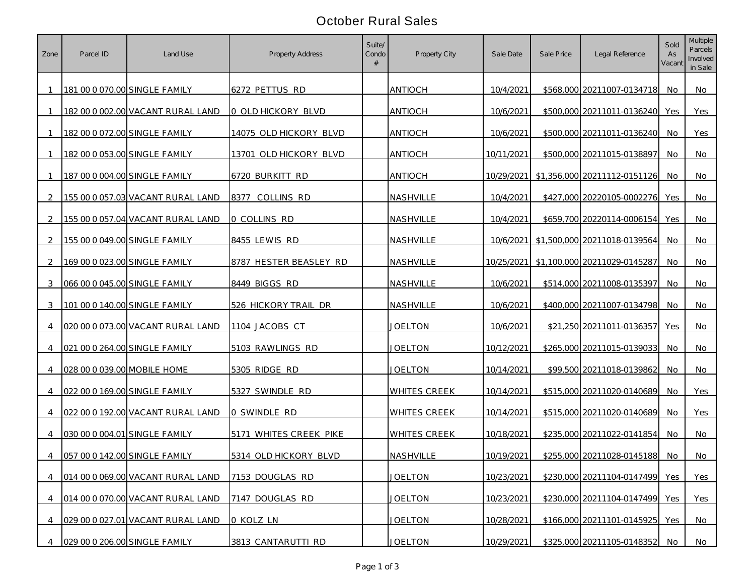## October Rural Sales

| Zone           | Parcel ID                   | Land Use                          | <b>Property Address</b>       | Suite/<br>Condo | Property City       | Sale Date  | Sale Price | Legal Reference                         | Sold<br>As<br>Vacant | <b>Multiple</b><br>Parcels<br>Involved<br>in Sale |
|----------------|-----------------------------|-----------------------------------|-------------------------------|-----------------|---------------------|------------|------------|-----------------------------------------|----------------------|---------------------------------------------------|
|                |                             | 181 00 0 070.00 SINGLE FAMILY     | 6272 PETTUS RD                |                 | ANTIOCH             | 10/4/2021  |            | \$568,000 20211007-0134718              | No.                  | No.                                               |
| $\overline{1}$ |                             | 182 00 0 002.00 VACANT RURAL LAND | 0 OLD HICKORY BLVD            |                 | <b>ANTIOCH</b>      | 10/6/2021  |            | \$500,000 20211011-0136240              | Yes                  | Yes                                               |
|                |                             | 182 00 0 072.00 SINGLE FAMILY     | <u>14075 OLD HICKORY BLVD</u> |                 | <b>ANTIOCH</b>      | 10/6/2021  |            | \$500,000 20211011-0136240              | No                   | Yes                                               |
|                |                             | 182 00 0 053.00 SINGLE FAMILY     | 13701 OLD HICKORY BLVD        |                 | <b>ANTIOCH</b>      | 10/11/2021 |            | \$500,000 20211015-0138897              | No                   | No                                                |
|                |                             | 187 00 0 004.00 SINGLE FAMILY     | 6720 BURKITT RD               |                 | <b>ANTIOCH</b>      | 10/29/2021 |            | \$1,356,000 20211112-0151126            | No                   | No                                                |
| 2              |                             | 155 00 0 057.03 VACANT RURAL LAND | 8377<br>COLLINS RD            |                 | NASHVILLE           | 10/4/2021  |            | \$427,000 20220105-0002276              | Yes                  | No                                                |
| $\mathcal{L}$  |                             | 155 00 0 057.04 VACANT RURAL LAND | 0 COLLINS RD                  |                 | NASHVILLE           | 10/4/2021  |            | \$659,700 20220114-0006154              | Yes                  | No                                                |
| 2              |                             | 155 00 0 049.00 SINGLE FAMILY     | 8455 LEWIS RD                 |                 | NASHVILLE           |            |            | 10/6/2021 \$1,500,000 20211018-0139564  | No                   | No                                                |
| $\mathcal{L}$  |                             | 169 00 0 023.00 SINGLE FAMILY     | 8787 HESTER BEASLEY RD        |                 | NASHVILLE           |            |            | 10/25/2021 \$1,100,000 20211029-0145287 | No                   | No                                                |
| 3              |                             | 066 00 0 045.00 SINGLE FAMILY     | 8449 BIGGS RD                 |                 | NASHVILLE           | 10/6/2021  |            | \$514,000 20211008-0135397              | No.                  | No                                                |
| 3              |                             | 101 00 0 140.00 SINGLE FAMILY     | 526 HICKORY TRAIL DR          |                 | NASHVILLE           | 10/6/2021  |            | \$400,000 20211007-0134798              | No                   | No.                                               |
| 4              |                             | 020 00 0 073.00 VACANT RURAL LAND | 1104 JACOBS CT                |                 | JOELTON             | 10/6/2021  |            | \$21,250 20211011-0136357               | Yes                  | No                                                |
|                |                             | 021 00 0 264.00 SINGLE FAMILY     | 5103 RAWLINGS RD              |                 | JOELTON             | 10/12/2021 |            | \$265,000 20211015-0139033              | No.                  | No.                                               |
| $\overline{4}$ | 028 00 0 039.00 MOBILE HOME |                                   | 5305 RIDGE RD                 |                 | JOELTON             | 10/14/2021 |            | \$99,500 20211018-0139862               | No.                  | No.                                               |
| 4              |                             | 022 00 0 169.00 SINGLE FAMILY     | 5327 SWINDLE RD               |                 | <b>WHITES CREEK</b> | 10/14/2021 |            | \$515,000 20211020-0140689              | No                   | Yes                                               |
| 4              |                             | 022 00 0 192.00 VACANT RURAL LAND | O SWINDLE RD                  |                 | <b>WHITES CREEK</b> | 10/14/2021 |            | \$515,000 20211020-0140689              | No                   | Yes                                               |
| 4              |                             | 030 00 0 004.01 SINGLE FAMILY     | 5171 WHITES CREEK PIKE        |                 | <b>WHITES CREEK</b> | 10/18/2021 |            | \$235,000 20211022-0141854              | No.                  | No                                                |
| $\overline{4}$ |                             | 057 00 0 142.00 SINGLE FAMILY     | 5314 OLD HICKORY BLVD         |                 | NASHVILLE           | 10/19/2021 |            | \$255,000 20211028-0145188              | No.                  | No                                                |
| $\overline{4}$ |                             | 014 00 0 069.00 VACANT RURAL LAND | 7153 DOUGLAS RD               |                 | <b>JOELTON</b>      | 10/23/2021 |            | \$230,000 20211104-0147499 Yes          |                      | Yes                                               |
| $\overline{4}$ |                             | 014 00 0 070.00 VACANT RURAL LAND | 7147 DOUGLAS RD               |                 | <b>JOELTON</b>      | 10/23/2021 |            | \$230,000 20211104-0147499              | Yes                  | Yes                                               |
| $\overline{4}$ |                             | 029 00 0 027.01 VACANT RURAL LAND | 0 KOLZ LN                     |                 | <b>JOELTON</b>      | 10/28/2021 |            | \$166,000 20211101-0145925              | Yes                  | No                                                |
|                |                             | 029 00 0 206.00 SINGLE FAMILY     | 3813 CANTARUTTI RD            |                 | <b>JOELTON</b>      | 10/29/2021 |            | \$325,000 20211105-0148352              | No                   | No                                                |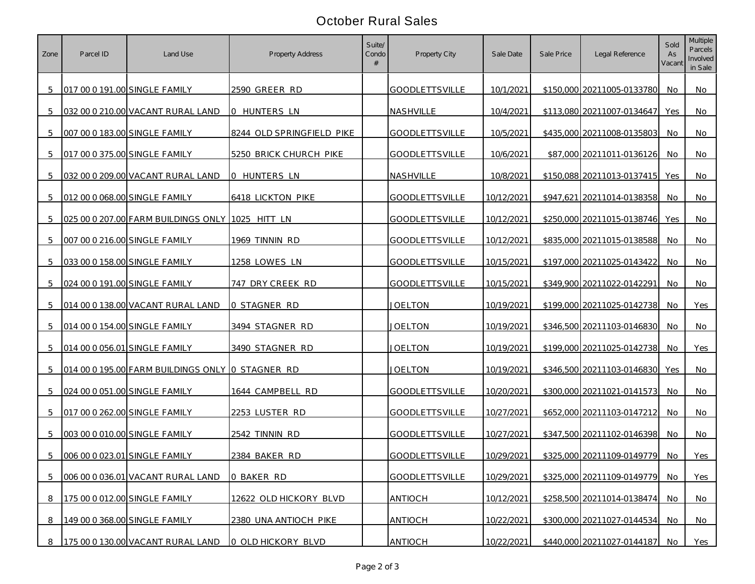## October Rural Sales

| Zone | Parcel ID | Land Use                                         | Property Address          | Suite/<br>Condo | Property City         | Sale Date  | Sale Price | Legal Reference            | Sold<br>As<br>Vacant | <b>Multiple</b><br>Parcels<br>Involved<br>in Sale |
|------|-----------|--------------------------------------------------|---------------------------|-----------------|-----------------------|------------|------------|----------------------------|----------------------|---------------------------------------------------|
| 5    |           | 017 00 0 191.00 SINGLE FAMILY                    | 2590 GREER RD             |                 | <b>GOODLETTSVILLE</b> | 10/1/2021  |            | \$150,000 20211005-0133780 | No.                  | No                                                |
| 5    |           | 032 00 0 210.00 VACANT RURAL LAND                | 0 HUNTERS LN              |                 | NASHVILLE             | 10/4/2021  |            | \$113,080 20211007-0134647 | Yes                  | No                                                |
| 5    |           | 007 00 0 183.00 SINGLE FAMILY                    | 8244 OLD SPRINGFIELD PIKE |                 | <b>GOODLETTSVILLE</b> | 10/5/2021  |            | \$435,000 20211008-0135803 | No                   | No                                                |
| 5    |           | 017 00 0 375.00 SINGLE FAMILY                    | 5250 BRICK CHURCH PIKE    |                 | <b>GOODLETTSVILLE</b> | 10/6/2021  |            | \$87,000 20211011-0136126  | No                   | No                                                |
| 5    |           | 032 00 0 209.00 VACANT RURAL LAND                | 0 HUNTERS LN              |                 | <b>NASHVILLE</b>      | 10/8/2021  |            | \$150,088 20211013-0137415 | Yes                  | <b>No</b>                                         |
| 5    |           | 012 00 0 068.00 SINGLE FAMILY                    | <b>6418 LICKTON PIKE</b>  |                 | <b>GOODLETTSVILLE</b> | 10/12/2021 |            | \$947,621 20211014-0138358 | No.                  | No                                                |
| 5    |           | 025 00 0 207.00 FARM BUILDINGS ONLY 1025 HITT LN |                           |                 | <b>GOODLETTSVILLE</b> | 10/12/2021 |            | \$250,000 20211015-0138746 | Yes                  | No                                                |
| 5    |           | 007 00 0 216.00 SINGLE FAMILY                    | 1969 TINNIN RD            |                 | <b>GOODLETTSVILLE</b> | 10/12/2021 |            | \$835,000 20211015-0138588 | No                   | No                                                |
| 5    |           | 033 00 0 158.00 SINGLE FAMILY                    | 1258 LOWES LN             |                 | <b>GOODLETTSVILLE</b> | 10/15/2021 |            | \$197,000 20211025-0143422 | No                   | No                                                |
| 5    |           | 024 00 0 191.00 SINGLE FAMILY                    | 747 DRY CREEK RD          |                 | <b>GOODLETTSVILLE</b> | 10/15/2021 |            | \$349,900 20211022-0142291 | No.                  | No                                                |
| 5    |           | 014 00 0 138.00 VACANT RURAL LAND                | 0 STAGNER RD              |                 | <b>JOELTON</b>        | 10/19/2021 |            | \$199,000 20211025-0142738 | No.                  | Yes                                               |
| 5    |           | 014 00 0 154.00 SINGLE FAMILY                    | 3494 STAGNER RD           |                 | <u>JOELTON</u>        | 10/19/2021 |            | \$346,500 20211103-0146830 | No.                  | No                                                |
| 5    |           | 014 00 0 056.01 SINGLE FAMILY                    | 3490 STAGNER RD           |                 | JOELTON               | 10/19/2021 |            | \$199,000 20211025-0142738 | No.                  | Yes                                               |
| 5    |           | 014 00 0 195.00 FARM BUILDINGS ONLY 0 STAGNER RD |                           |                 | <b>JOELTON</b>        | 10/19/2021 |            | \$346,500 20211103-0146830 | Yes                  | No                                                |
| 5    |           | 024 00 0 051.00 SINGLE FAMILY                    | 1644 CAMPBELL RD          |                 | <b>GOODLETTSVILLE</b> | 10/20/2021 |            | \$300,000 20211021-0141573 | No                   | No                                                |
| 5    |           | 017 00 0 262.00 SINGLE FAMILY                    | 2253 LUSTER RD            |                 | <b>GOODLETTSVILLE</b> | 10/27/2021 |            | \$652,000 20211103-0147212 | No                   | No                                                |
| 5    |           | 003 00 0 010.00 SINGLE FAMILY                    | 2542 TINNIN RD            |                 | <b>GOODLETTSVILLE</b> | 10/27/2021 |            | \$347,500 20211102-0146398 | No.                  | No                                                |
| 5    |           | 006 00 0 023.01 SINGLE FAMILY                    | 2384 BAKER RD             |                 | <b>GOODLETTSVILLE</b> | 10/29/2021 |            | \$325,000 20211109-0149779 | No.                  | Yes                                               |
| 5    |           | 006 00 0 036.01 VACANT RURAL LAND                | 0 BAKER RD                |                 | <b>GOODLETTSVILLE</b> | 10/29/2021 |            | \$325,000 20211109-0149779 | No.                  | Yes                                               |
| 8    |           | 175 00 0 012.00 SINGLE FAMILY                    | 12622 OLD HICKORY BLVD    |                 | <b>ANTIOCH</b>        | 10/12/2021 |            | \$258,500 20211014-0138474 | No                   | <b>No</b>                                         |
| 8    |           | 149 00 0 368.00 SINGLE FAMILY                    | 2380 UNA ANTIOCH PIKE     |                 | <b>ANTIOCH</b>        | 10/22/2021 |            | \$300,000 20211027-0144534 | No.                  | No                                                |
| 8    |           | 175 00 0 130.00 VACANT RURAL LAND                | 0 OLD HICKORY BLVD        |                 | <b>ANTIOCH</b>        | 10/22/2021 |            | \$440,000 20211027-0144187 | No                   | Yes                                               |